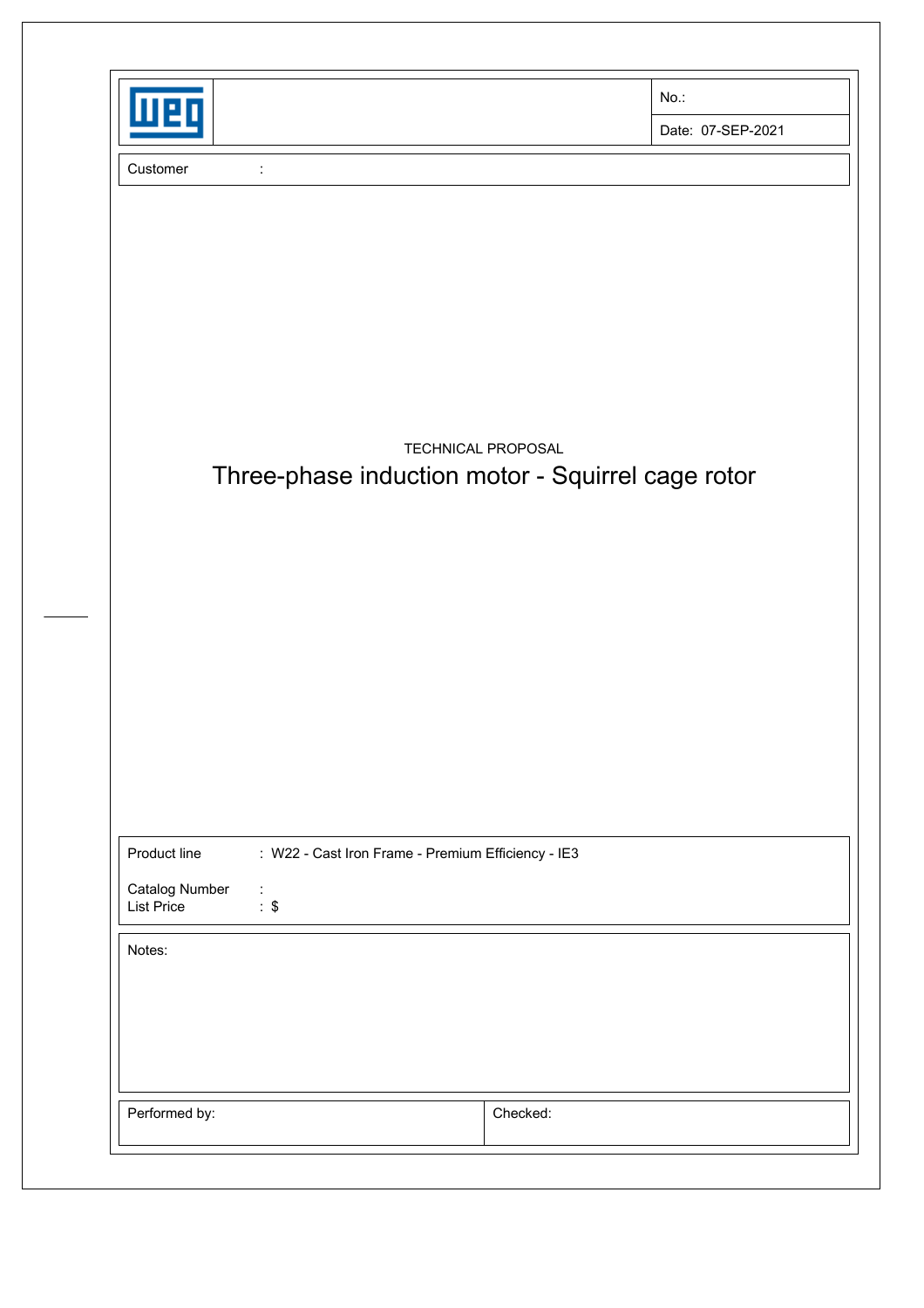|                                                                                       |                                                    | $No.$ :           |
|---------------------------------------------------------------------------------------|----------------------------------------------------|-------------------|
|                                                                                       |                                                    | Date: 07-SEP-2021 |
| Customer<br>$\ddot{.}$                                                                |                                                    |                   |
|                                                                                       |                                                    |                   |
|                                                                                       |                                                    |                   |
|                                                                                       |                                                    |                   |
|                                                                                       |                                                    |                   |
|                                                                                       |                                                    |                   |
|                                                                                       |                                                    |                   |
|                                                                                       | <b>TECHNICAL PROPOSAL</b>                          |                   |
|                                                                                       | Three-phase induction motor - Squirrel cage rotor  |                   |
|                                                                                       |                                                    |                   |
|                                                                                       |                                                    |                   |
|                                                                                       |                                                    |                   |
|                                                                                       |                                                    |                   |
|                                                                                       |                                                    |                   |
|                                                                                       |                                                    |                   |
|                                                                                       |                                                    |                   |
|                                                                                       |                                                    |                   |
| Product line                                                                          | : W22 - Cast Iron Frame - Premium Efficiency - IE3 |                   |
| Catalog Number<br>$\mathcal{L}_{\mathcal{C}}$<br>$\therefore$ \$<br><b>List Price</b> |                                                    |                   |
| Notes:                                                                                |                                                    |                   |
|                                                                                       |                                                    |                   |
|                                                                                       |                                                    |                   |
|                                                                                       |                                                    |                   |
|                                                                                       |                                                    |                   |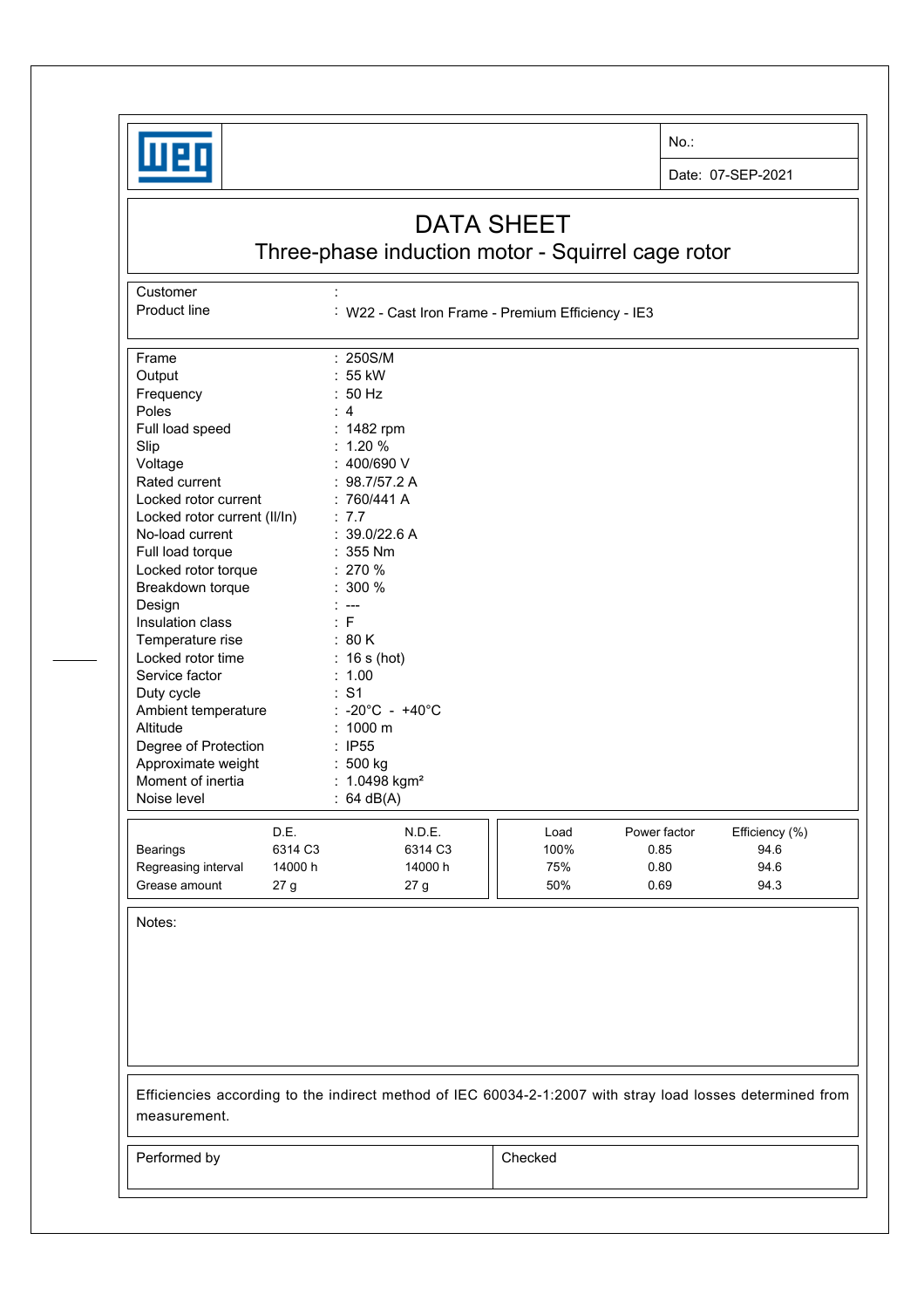

No.:

Date: 07-SEP-2021

## DATA SHEET

Three-phase induction motor - Squirrel cage rotor

Customer : the state of the state of the state of the state of the state of the state of the state of the state of the state of the state of the state of the state of the state of the state of the state of the state of the

Product line : W22 - Cast Iron Frame - Premium Efficiency - IE3

| Frame                        |         | : 250S/M                                                                                                   |      |              |                        |
|------------------------------|---------|------------------------------------------------------------------------------------------------------------|------|--------------|------------------------|
| Output                       |         | 55 kW                                                                                                      |      |              |                        |
| Frequency                    |         | 50 Hz                                                                                                      |      |              |                        |
| Poles                        |         | $\overline{4}$                                                                                             |      |              |                        |
| Full load speed              |         | : 1482 rpm                                                                                                 |      |              |                        |
|                              |         | $: 1.20 \%$                                                                                                |      |              |                        |
| Slip                         |         | : 400/690 V                                                                                                |      |              |                        |
| Voltage                      |         |                                                                                                            |      |              |                        |
| Rated current                |         | : 98.7/57.2 A                                                                                              |      |              |                        |
| Locked rotor current         |         | :760/441A                                                                                                  |      |              |                        |
| Locked rotor current (II/In) |         | : 7.7                                                                                                      |      |              |                        |
| No-load current              |         | : 39.0/22.6 A                                                                                              |      |              |                        |
| Full load torque             |         | 355 Nm                                                                                                     |      |              |                        |
| Locked rotor torque          |         | 270 %                                                                                                      |      |              |                        |
| Breakdown torque             |         | $: 300 \%$                                                                                                 |      |              |                        |
| Design                       |         | $---$                                                                                                      |      |              |                        |
| Insulation class             |         | : F                                                                                                        |      |              |                        |
| Temperature rise             |         | : 80 K                                                                                                     |      |              |                        |
| Locked rotor time            |         | $: 16s$ (hot)                                                                                              |      |              |                        |
| Service factor               |         | : 1.00                                                                                                     |      |              |                        |
| Duty cycle                   |         | : S1                                                                                                       |      |              |                        |
| Ambient temperature          |         | $-20^{\circ}$ C - $+40^{\circ}$ C                                                                          |      |              |                        |
| Altitude                     |         | 1000 m                                                                                                     |      |              |                        |
| Degree of Protection         |         | : IP55                                                                                                     |      |              |                        |
| Approximate weight           |         | : 500 kg                                                                                                   |      |              |                        |
| Moment of inertia            |         | : $1.0498$ kgm <sup>2</sup>                                                                                |      |              |                        |
| Noise level                  |         | 64 dB(A)                                                                                                   |      |              |                        |
|                              | D.E.    | N.D.E.                                                                                                     | Load | Power factor |                        |
|                              | 6314 C3 | 6314 C3                                                                                                    |      | 0.85         | Efficiency (%)<br>94.6 |
| <b>Bearings</b>              | 14000 h | 14000 h                                                                                                    | 100% | 0.80         | 94.6                   |
| Regreasing interval          |         |                                                                                                            | 75%  |              |                        |
| Grease amount                | 27 g    | 27 <sub>g</sub>                                                                                            | 50%  | 0.69         | 94.3                   |
| Notes:                       |         |                                                                                                            |      |              |                        |
|                              |         |                                                                                                            |      |              |                        |
|                              |         |                                                                                                            |      |              |                        |
|                              |         |                                                                                                            |      |              |                        |
|                              |         |                                                                                                            |      |              |                        |
|                              |         |                                                                                                            |      |              |                        |
|                              |         |                                                                                                            |      |              |                        |
|                              |         |                                                                                                            |      |              |                        |
|                              |         |                                                                                                            |      |              |                        |
|                              |         |                                                                                                            |      |              |                        |
|                              |         | Efficiencies according to the indirect method of IEC 60034-2-1:2007 with stray load losses determined from |      |              |                        |
| measurement.                 |         |                                                                                                            |      |              |                        |
|                              |         |                                                                                                            |      |              |                        |
|                              |         |                                                                                                            |      |              |                        |

Performed by **Checked**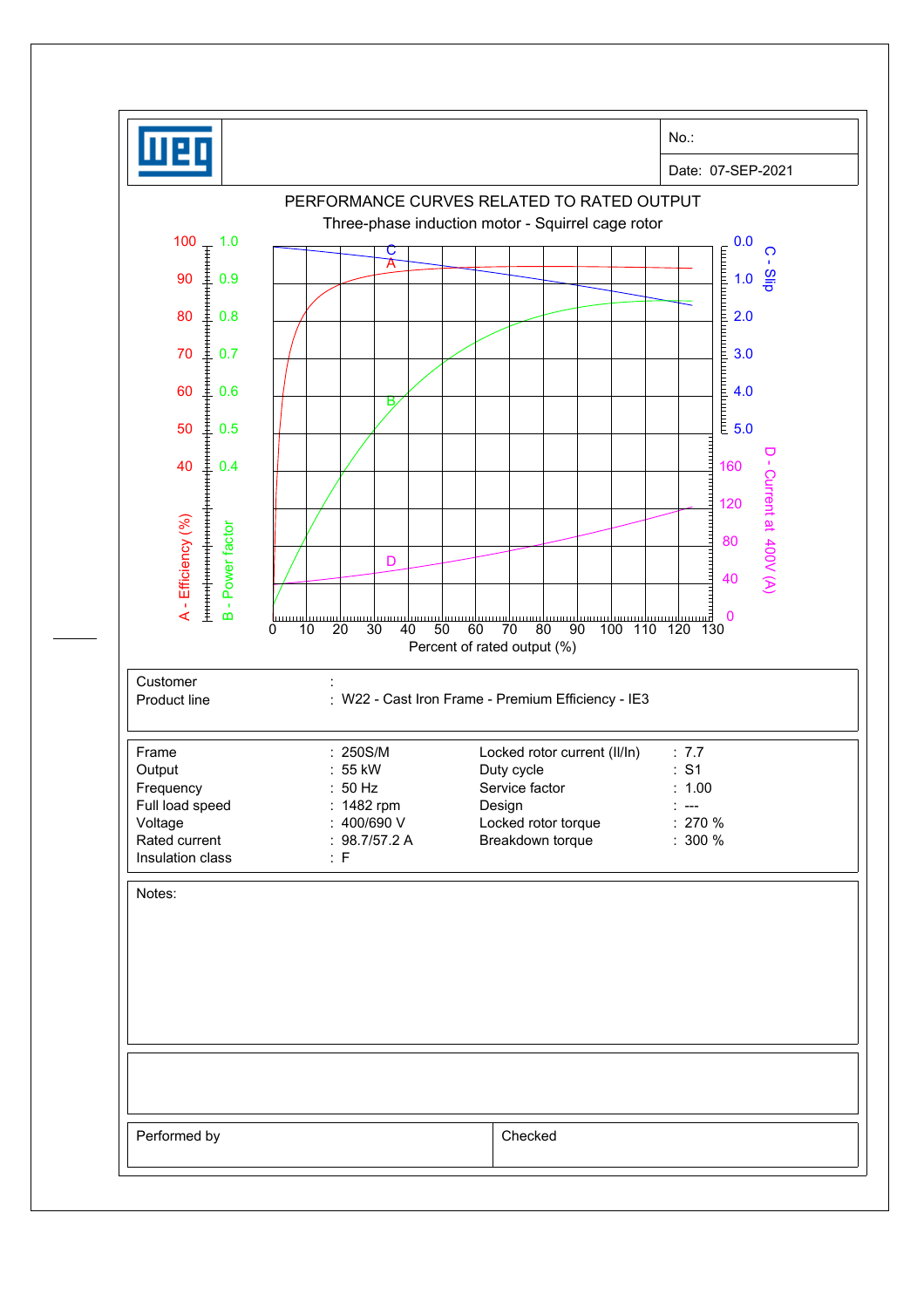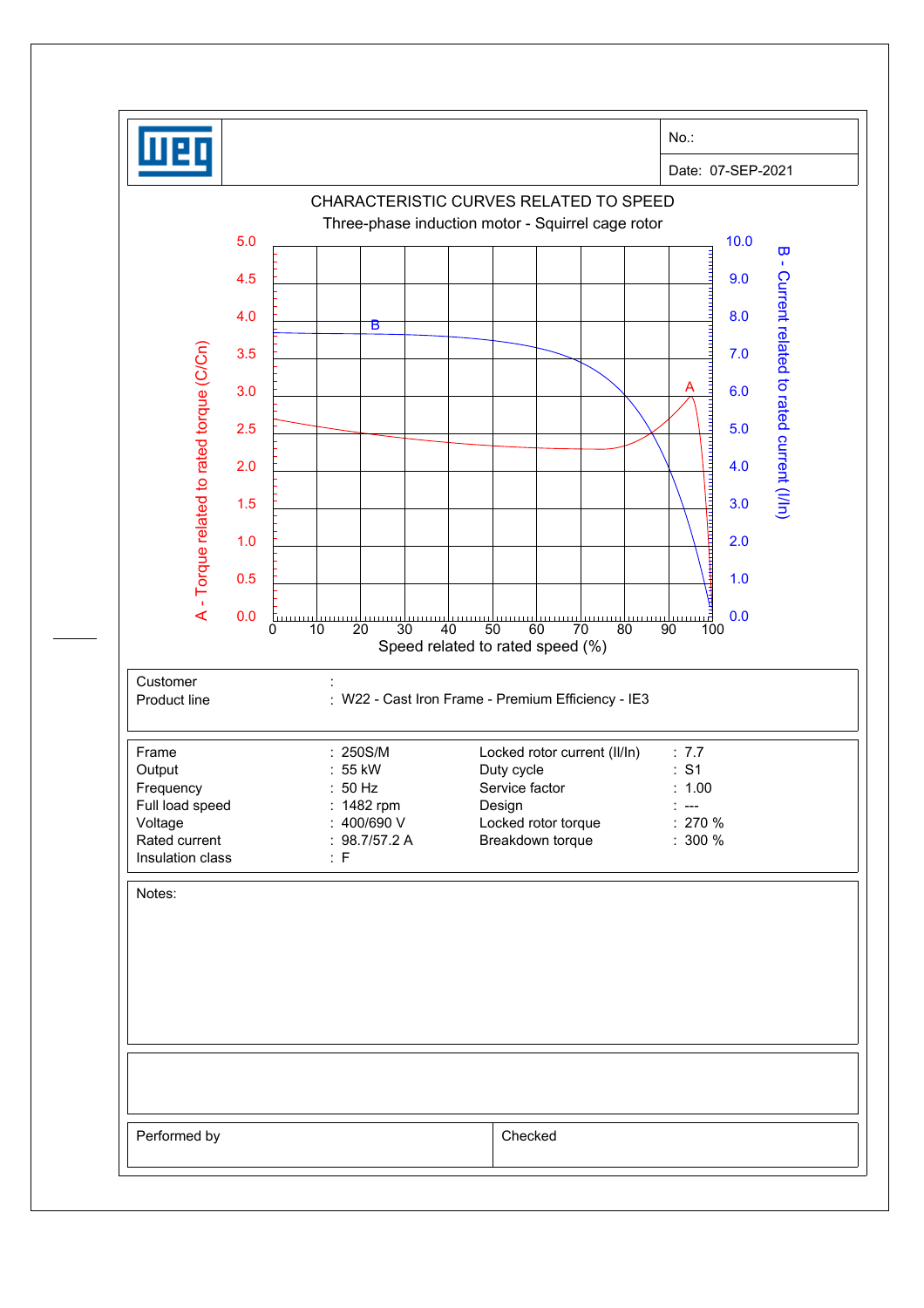|                                                  |                             | $No.$ :                                                                               |
|--------------------------------------------------|-----------------------------|---------------------------------------------------------------------------------------|
|                                                  |                             | Date: 07-SEP-2021                                                                     |
|                                                  |                             | CHARACTERISTIC CURVES RELATED TO SPEED                                                |
| 5.0                                              |                             | Three-phase induction motor - Squirrel cage rotor<br>10.0                             |
|                                                  |                             | $\overline{\mathbf{u}}$<br>$\mathbf{I}$                                               |
| 4.5                                              |                             | 9.0                                                                                   |
| 4.0                                              | в                           | 8.0                                                                                   |
| 3.5                                              |                             | 7.0                                                                                   |
| 3.0                                              |                             | 6.0                                                                                   |
| 2.5                                              |                             | 5.0                                                                                   |
|                                                  |                             |                                                                                       |
| 2.0                                              |                             | Current related to rated current (I/In)<br>4.0                                        |
| 1.5                                              |                             | 3.0                                                                                   |
| A - Torque related to rated torque (C/Cn)<br>1.0 |                             | <b>THE REAL</b><br>2.0                                                                |
| 0.5                                              |                             | 1.0                                                                                   |
| 0.0                                              |                             | 0.0                                                                                   |
|                                                  | سسسا<br>20<br>30<br>0<br>10 | mmun 2<br>40<br>50<br>60<br>70<br>80<br>90<br>100<br>Speed related to rated speed (%) |
| Customer                                         |                             |                                                                                       |
| Product line                                     |                             | : W22 - Cast Iron Frame - Premium Efficiency - IE3                                    |
|                                                  |                             |                                                                                       |
| Frame<br>Output                                  | : 250S/M<br>: 55 kW         | Locked rotor current (II/In)<br>: 7.7<br>: S1<br>Duty cycle                           |
| Frequency<br>Full load speed                     | : 50 Hz<br>: 1482 rpm       | Service factor<br>: 1.00<br>Design<br>$\overline{\phantom{a}}$                        |
| Voltage                                          | : $400/690V$                | Locked rotor torque<br>$: 270 \%$                                                     |
| Rated current                                    | : $98.7/57.2 A$<br>: F      | Breakdown torque<br>$: 300 \%$                                                        |
| Insulation class                                 |                             |                                                                                       |
|                                                  |                             |                                                                                       |
| Notes:                                           |                             |                                                                                       |
|                                                  |                             |                                                                                       |
|                                                  |                             |                                                                                       |
|                                                  |                             |                                                                                       |
|                                                  |                             |                                                                                       |
|                                                  |                             |                                                                                       |
|                                                  |                             |                                                                                       |